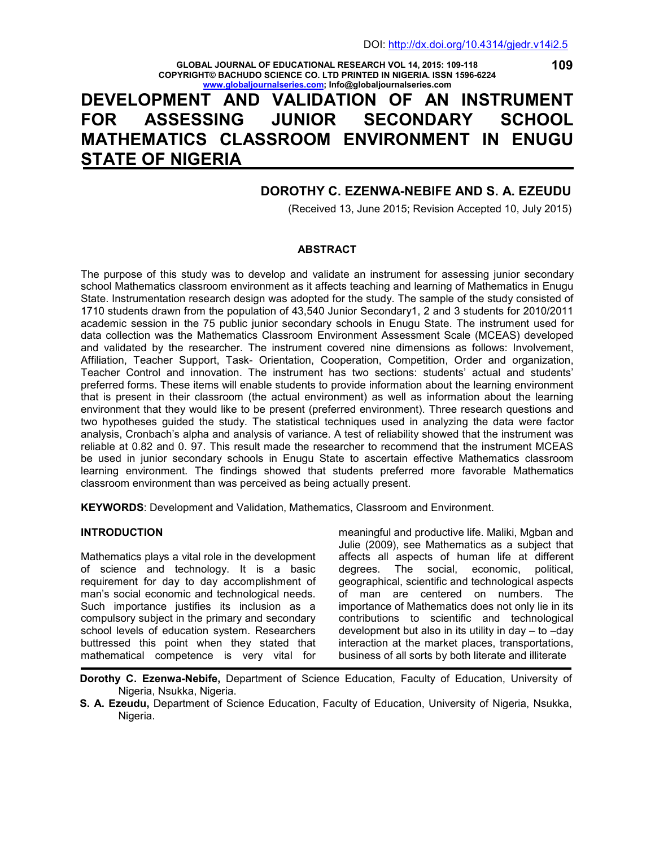**GLOBAL JOURNAL OF EDUCATIONAL RESEARCH VOL 14, 2015: 109-118 COPYRIGHT© BACHUDO SCIENCE CO. LTD PRINTED IN NIGERIA. ISSN 1596-6224 www.globaljournalseries.com; Info@globaljournalseries.com**

**109** 

# **DEVELOPMENT AND VALIDATION OF AN INSTRUMENT FOR ASSESSING JUNIOR SECONDARY SCHOOL MATHEMATICS CLASSROOM ENVIRONMENT IN ENUGU STATE OF NIGERIA**

# **DOROTHY C. EZENWA-NEBIFE AND S. A. EZEUDU**

(Received 13, June 2015; Revision Accepted 10, July 2015)

#### **ABSTRACT**

The purpose of this study was to develop and validate an instrument for assessing junior secondary school Mathematics classroom environment as it affects teaching and learning of Mathematics in Enugu State. Instrumentation research design was adopted for the study. The sample of the study consisted of 1710 students drawn from the population of 43,540 Junior Secondary1, 2 and 3 students for 2010/2011 academic session in the 75 public junior secondary schools in Enugu State. The instrument used for data collection was the Mathematics Classroom Environment Assessment Scale (MCEAS) developed and validated by the researcher. The instrument covered nine dimensions as follows: Involvement, Affiliation, Teacher Support, Task- Orientation, Cooperation, Competition, Order and organization, Teacher Control and innovation. The instrument has two sections: students' actual and students' preferred forms. These items will enable students to provide information about the learning environment that is present in their classroom (the actual environment) as well as information about the learning environment that they would like to be present (preferred environment). Three research questions and two hypotheses guided the study. The statistical techniques used in analyzing the data were factor analysis, Cronbach's alpha and analysis of variance. A test of reliability showed that the instrument was reliable at 0.82 and 0. 97. This result made the researcher to recommend that the instrument MCEAS be used in junior secondary schools in Enugu State to ascertain effective Mathematics classroom learning environment. The findings showed that students preferred more favorable Mathematics classroom environment than was perceived as being actually present.

**KEYWORDS**: Development and Validation, Mathematics, Classroom and Environment.

#### **INTRODUCTION**

Mathematics plays a vital role in the development of science and technology. It is a basic requirement for day to day accomplishment of man's social economic and technological needs. Such importance justifies its inclusion as a compulsory subject in the primary and secondary school levels of education system. Researchers buttressed this point when they stated that mathematical competence is very vital for

meaningful and productive life. Maliki, Mgban and Julie (2009), see Mathematics as a subject that affects all aspects of human life at different degrees. The social, economic, political, degrees. The social, geographical, scientific and technological aspects of man are centered on numbers. The importance of Mathematics does not only lie in its contributions to scientific and technological development but also in its utility in day  $-$  to  $-\text{day}$ interaction at the market places, transportations, business of all sorts by both literate and illiterate

**Dorothy C. Ezenwa-Nebife,** Department of Science Education, Faculty of Education, University of Nigeria, Nsukka, Nigeria.

**S. A. Ezeudu,** Department of Science Education, Faculty of Education, University of Nigeria, Nsukka, Nigeria.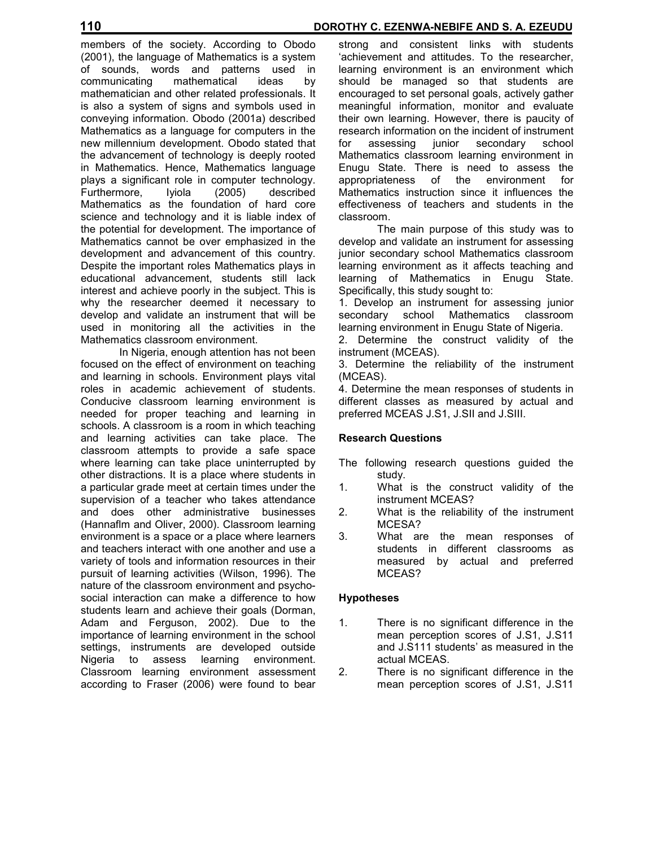#### **110 DOROTHY C. EZENWA-NEBIFE AND S. A. EZEUDU**

members of the society. According to Obodo (2001), the language of Mathematics is a system of sounds, words and patterns used in<br>communicating mathematical ideas by communicating mathematical ideas by mathematician and other related professionals. It is also a system of signs and symbols used in conveying information. Obodo (2001a) described Mathematics as a language for computers in the new millennium development. Obodo stated that the advancement of technology is deeply rooted in Mathematics. Hence, Mathematics language plays a significant role in computer technology. Furthermore, Iyiola (2005) described Mathematics as the foundation of hard core science and technology and it is liable index of the potential for development. The importance of Mathematics cannot be over emphasized in the development and advancement of this country. Despite the important roles Mathematics plays in educational advancement, students still lack interest and achieve poorly in the subject. This is why the researcher deemed it necessary to develop and validate an instrument that will be used in monitoring all the activities in the Mathematics classroom environment.

 In Nigeria, enough attention has not been focused on the effect of environment on teaching and learning in schools. Environment plays vital roles in academic achievement of students. Conducive classroom learning environment is needed for proper teaching and learning in schools. A classroom is a room in which teaching and learning activities can take place. The classroom attempts to provide a safe space where learning can take place uninterrupted by other distractions. It is a place where students in a particular grade meet at certain times under the supervision of a teacher who takes attendance and does other administrative businesses (Hannaflm and Oliver, 2000). Classroom learning environment is a space or a place where learners and teachers interact with one another and use a variety of tools and information resources in their pursuit of learning activities (Wilson, 1996). The nature of the classroom environment and psychosocial interaction can make a difference to how students learn and achieve their goals (Dorman, Adam and Ferguson, 2002). Due to the importance of learning environment in the school settings, instruments are developed outside Nigeria to assess learning environment. Classroom learning environment assessment according to Fraser (2006) were found to bear

strong and consistent links with students 'achievement and attitudes. To the researcher, learning environment is an environment which should be managed so that students are encouraged to set personal goals, actively gather meaningful information, monitor and evaluate their own learning. However, there is paucity of research information on the incident of instrument for assessing junior secondary school Mathematics classroom learning environment in Enugu State. There is need to assess the appropriateness of the environment for Mathematics instruction since it influences the effectiveness of teachers and students in the classroom.

 The main purpose of this study was to develop and validate an instrument for assessing junior secondary school Mathematics classroom learning environment as it affects teaching and learning of Mathematics in Enugu State. Specifically, this study sought to:

1. Develop an instrument for assessing junior secondary school Mathematics classroom learning environment in Enugu State of Nigeria.

2. Determine the construct validity of the instrument (MCEAS).

3. Determine the reliability of the instrument (MCEAS).

4. Determine the mean responses of students in different classes as measured by actual and preferred MCEAS J.S1, J.SII and J.SIII.

# **Research Questions**

- The following research questions guided the study.
- 1. What is the construct validity of the instrument MCEAS?
- 2. What is the reliability of the instrument MCESA?
- 3. What are the mean responses of students in different classrooms as measured by actual and preferred MCEAS?

# **Hypotheses**

- 1. There is no significant difference in the mean perception scores of J.S1, J.S11 and J.S111 students' as measured in the actual MCEAS.
- 2. There is no significant difference in the mean perception scores of J.S1, J.S11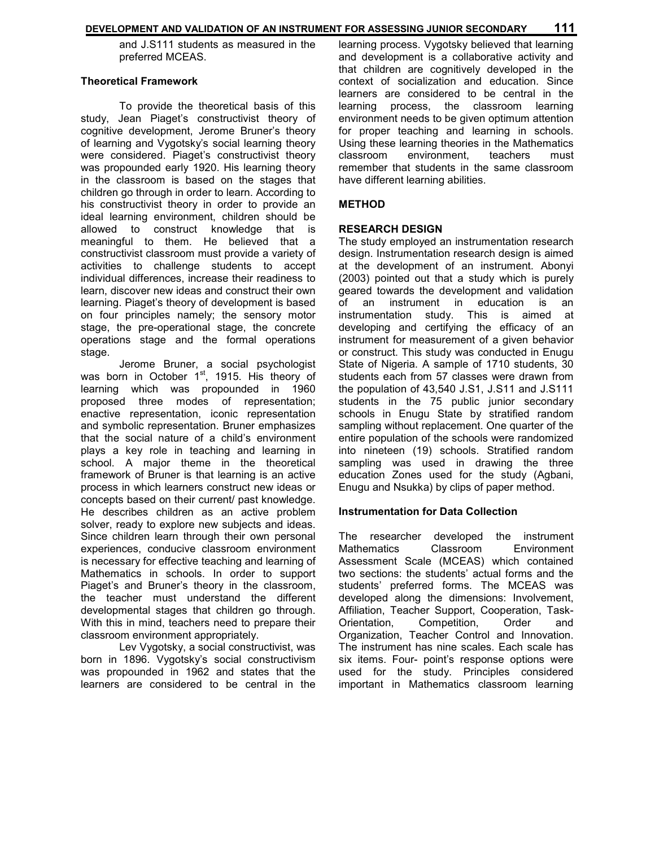and J.S111 students as measured in the preferred MCEAS.

#### **Theoretical Framework**

 To provide the theoretical basis of this study, Jean Piaget's constructivist theory of cognitive development, Jerome Bruner's theory of learning and Vygotsky's social learning theory were considered. Piaget's constructivist theory was propounded early 1920. His learning theory in the classroom is based on the stages that children go through in order to learn. According to his constructivist theory in order to provide an ideal learning environment, children should be allowed to construct knowledge that is meaningful to them. He believed that a constructivist classroom must provide a variety of activities to challenge students to accept individual differences, increase their readiness to learn, discover new ideas and construct their own learning. Piaget's theory of development is based on four principles namely; the sensory motor stage, the pre-operational stage, the concrete operations stage and the formal operations stage.

 Jerome Bruner, a social psychologist was born in October 1<sup>st</sup>, 1915. His theory of learning which was propounded in 1960 proposed three modes of representation; enactive representation, iconic representation and symbolic representation. Bruner emphasizes that the social nature of a child's environment plays a key role in teaching and learning in school. A major theme in the theoretical framework of Bruner is that learning is an active process in which learners construct new ideas or concepts based on their current/ past knowledge. He describes children as an active problem solver, ready to explore new subjects and ideas. Since children learn through their own personal experiences, conducive classroom environment is necessary for effective teaching and learning of Mathematics in schools. In order to support Piaget's and Bruner's theory in the classroom, the teacher must understand the different developmental stages that children go through. With this in mind, teachers need to prepare their classroom environment appropriately.

 Lev Vygotsky, a social constructivist, was born in 1896. Vygotsky's social constructivism was propounded in 1962 and states that the learners are considered to be central in the learning process. Vygotsky believed that learning and development is a collaborative activity and that children are cognitively developed in the context of socialization and education. Since learners are considered to be central in the learning process, the classroom learning environment needs to be given optimum attention for proper teaching and learning in schools. Using these learning theories in the Mathematics classroom environment, teachers must remember that students in the same classroom have different learning abilities.

#### **METHOD**

#### **RESEARCH DESIGN**

The study employed an instrumentation research design. Instrumentation research design is aimed at the development of an instrument. Abonyi (2003) pointed out that a study which is purely geared towards the development and validation of an instrument in education is an instrumentation study. This is aimed at developing and certifying the efficacy of an instrument for measurement of a given behavior or construct. This study was conducted in Enugu State of Nigeria. A sample of 1710 students, 30 students each from 57 classes were drawn from the population of 43,540 J.S1, J.S11 and J.S111 students in the 75 public junior secondary schools in Enugu State by stratified random sampling without replacement. One quarter of the entire population of the schools were randomized into nineteen (19) schools. Stratified random sampling was used in drawing the three education Zones used for the study (Agbani, Enugu and Nsukka) by clips of paper method.

#### **Instrumentation for Data Collection**

The researcher developed the instrument Mathematics Classroom Environment Assessment Scale (MCEAS) which contained two sections: the students' actual forms and the students' preferred forms. The MCEAS was developed along the dimensions: Involvement, Affiliation, Teacher Support, Cooperation, Task-Orientation, Competition, Order and Organization, Teacher Control and Innovation. The instrument has nine scales. Each scale has six items. Four- point's response options were used for the study. Principles considered important in Mathematics classroom learning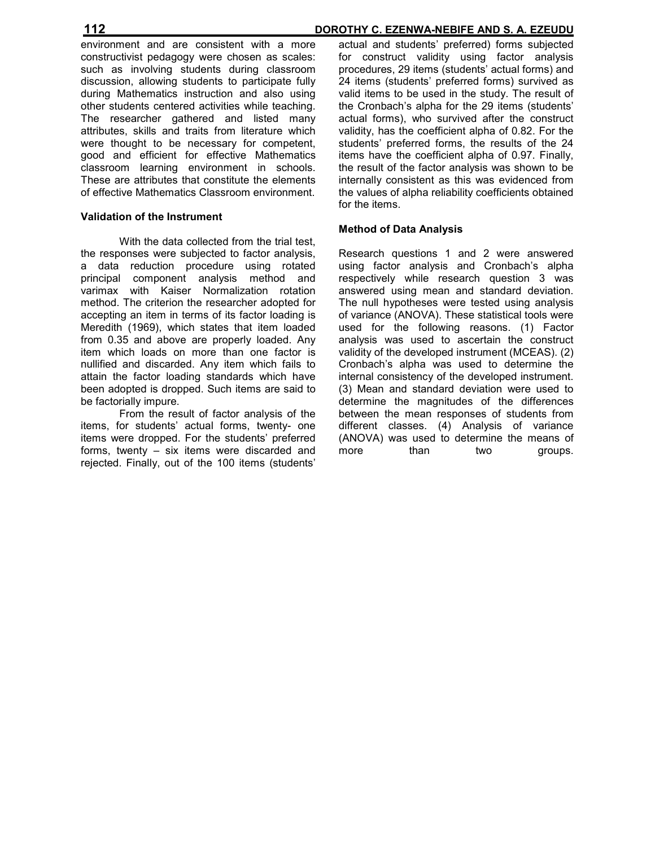environment and are consistent with a more constructivist pedagogy were chosen as scales: such as involving students during classroom discussion, allowing students to participate fully during Mathematics instruction and also using other students centered activities while teaching. The researcher gathered and listed many attributes, skills and traits from literature which were thought to be necessary for competent, good and efficient for effective Mathematics classroom learning environment in schools. These are attributes that constitute the elements of effective Mathematics Classroom environment.

#### **Validation of the Instrument**

 With the data collected from the trial test, the responses were subjected to factor analysis, a data reduction procedure using rotated principal component analysis method and varimax with Kaiser Normalization rotation method. The criterion the researcher adopted for accepting an item in terms of its factor loading is Meredith (1969), which states that item loaded from 0.35 and above are properly loaded. Any item which loads on more than one factor is nullified and discarded. Any item which fails to attain the factor loading standards which have been adopted is dropped. Such items are said to be factorially impure.

 From the result of factor analysis of the items, for students' actual forms, twenty- one items were dropped. For the students' preferred forms, twenty – six items were discarded and rejected. Finally, out of the 100 items (students'

actual and students' preferred) forms subjected for construct validity using factor analysis procedures, 29 items (students' actual forms) and 24 items (students' preferred forms) survived as valid items to be used in the study. The result of the Cronbach's alpha for the 29 items (students' actual forms), who survived after the construct validity, has the coefficient alpha of 0.82. For the students' preferred forms, the results of the 24 items have the coefficient alpha of 0.97. Finally, the result of the factor analysis was shown to be internally consistent as this was evidenced from the values of alpha reliability coefficients obtained for the items.

#### **Method of Data Analysis**

Research questions 1 and 2 were answered using factor analysis and Cronbach's alpha respectively while research question 3 was answered using mean and standard deviation. The null hypotheses were tested using analysis of variance (ANOVA). These statistical tools were used for the following reasons. (1) Factor analysis was used to ascertain the construct validity of the developed instrument (MCEAS). (2) Cronbach's alpha was used to determine the internal consistency of the developed instrument. (3) Mean and standard deviation were used to determine the magnitudes of the differences between the mean responses of students from different classes. (4) Analysis of variance (ANOVA) was used to determine the means of more than two groups.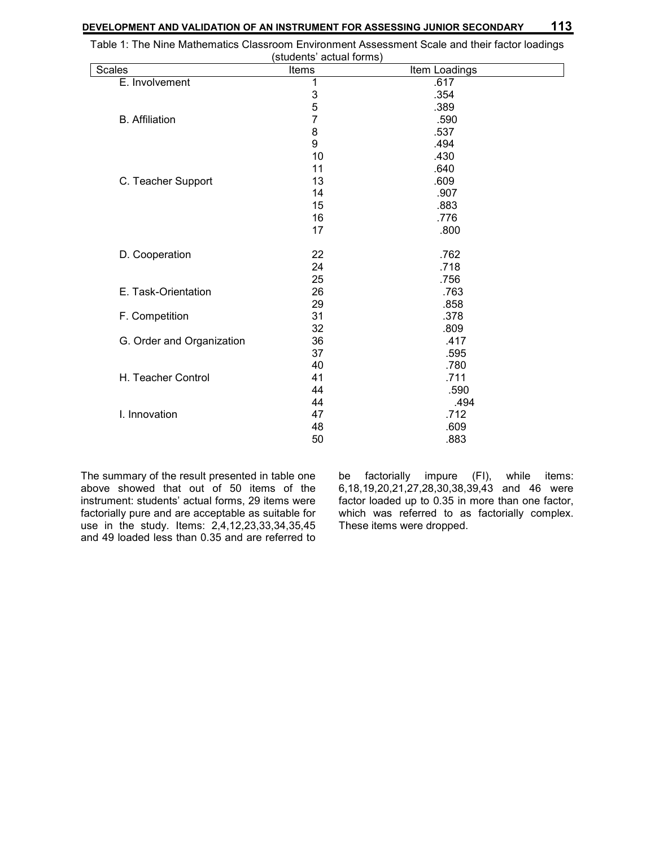| 113<br>DEVELOPMENT AND VALIDATION OF AN INSTRUMENT FOR ASSESSING JUNIOR SECONDARY |
|-----------------------------------------------------------------------------------|
|-----------------------------------------------------------------------------------|

Table 1: The Nine Mathematics Classroom Environment Assessment Scale and their factor loadings (students' actual forms)

| <b>Scales</b>             | Items          | Item Loadings |
|---------------------------|----------------|---------------|
| E. Involvement            | 1              | .617          |
|                           | 3              | .354          |
|                           | 5              | .389          |
| <b>B.</b> Affiliation     | $\overline{7}$ | .590          |
|                           | 8              | .537          |
|                           | 9              | .494          |
|                           | 10             | .430          |
|                           | 11             | .640          |
| C. Teacher Support        | 13             | .609          |
|                           | 14             | .907          |
|                           | 15             | .883          |
|                           | 16             | .776          |
|                           | 17             | .800          |
| D. Cooperation            | 22             | .762          |
|                           | 24             | .718          |
|                           | 25             | .756          |
| E. Task-Orientation       | 26             | .763          |
|                           | 29             | .858          |
| F. Competition            | 31             | .378          |
|                           | 32             | .809          |
| G. Order and Organization | 36             | .417          |
|                           | 37             | .595          |
|                           | 40             | .780          |
| H. Teacher Control        | 41             | .711          |
|                           | 44             | .590          |
|                           | 44             | .494          |
| I. Innovation             | 47             | .712          |
|                           | 48             | .609          |
|                           | 50             | .883          |
|                           |                |               |

The summary of the result presented in table one above showed that out of 50 items of the instrument: students' actual forms, 29 items were factorially pure and are acceptable as suitable for use in the study. Items: 2,4,12,23,33,34,35,45 and 49 loaded less than 0.35 and are referred to be factorially impure (FI), while items: 6,18,19,20,21,27,28,30,38,39,43 and 46 were factor loaded up to 0.35 in more than one factor, which was referred to as factorially complex. These items were dropped.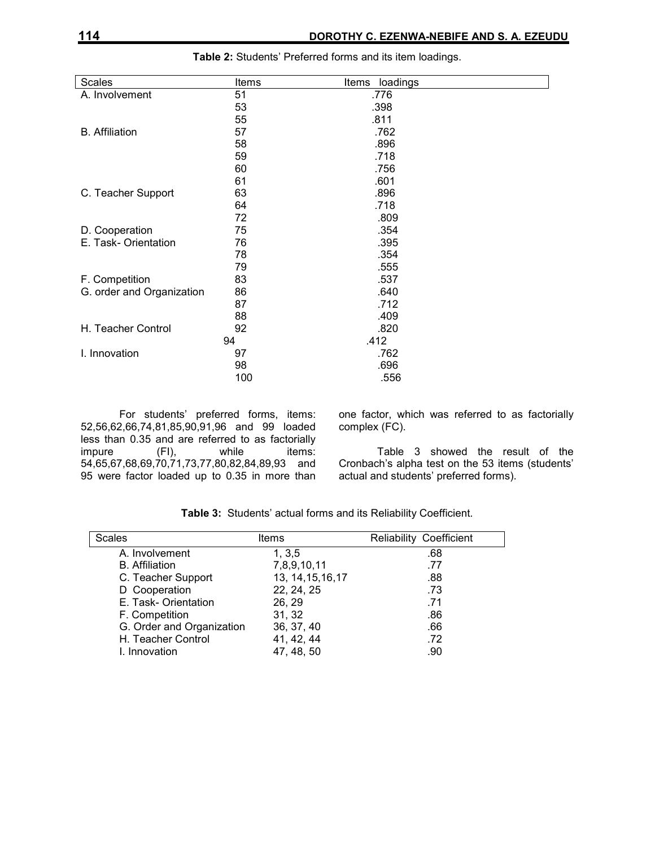| <b>Scales</b>             | Items | Items<br>loadings |
|---------------------------|-------|-------------------|
| A. Involvement            | 51    | .776              |
|                           | 53    | .398              |
|                           | 55    | .811              |
| <b>B.</b> Affiliation     | 57    | .762              |
|                           | 58    | .896              |
|                           | 59    | .718              |
|                           | 60    | .756              |
|                           | 61    | .601              |
| C. Teacher Support        | 63    | .896              |
|                           | 64    | .718              |
|                           | 72    | .809              |
| D. Cooperation            | 75    | .354              |
| E. Task- Orientation      | 76    | .395              |
|                           | 78    | .354              |
|                           | 79    | .555              |
| F. Competition            | 83    | .537              |
| G. order and Organization | 86    | .640              |
|                           | 87    | .712              |
|                           | 88    | .409              |
| H. Teacher Control        | 92    | .820              |
|                           | 94    | .412              |
| I. Innovation             | 97    | .762              |
|                           | 98    | .696              |
|                           | 100   | .556              |

**Table 2:** Students' Preferred forms and its item loadings.

 For students' preferred forms, items: 52,56,62,66,74,81,85,90,91,96 and 99 loaded less than 0.35 and are referred to as factorially impure  $(FI)$ , while items: 54,65,67,68,69,70,71,73,77,80,82,84,89,93 and 95 were factor loaded up to 0.35 in more than one factor, which was referred to as factorially complex (FC).

 Table 3 showed the result of the Cronbach's alpha test on the 53 items (students' actual and students' preferred forms).

| <b>Scales</b>             | <b>Items</b>       | <b>Reliability Coefficient</b> |
|---------------------------|--------------------|--------------------------------|
| A. Involvement            | 1, 3, 5            | .68                            |
| <b>B.</b> Affiliation     | 7,8,9,10,11        | .77                            |
| C. Teacher Support        | 13, 14, 15, 16, 17 | .88                            |
| D Cooperation             | 22, 24, 25         | .73                            |
| E. Task- Orientation      | 26, 29             | .71                            |
| F. Competition            | 31, 32             | .86                            |
| G. Order and Organization | 36, 37, 40         | .66                            |
| H. Teacher Control        | 41, 42, 44         | .72                            |
| I. Innovation             | 47, 48, 50         | .90                            |

**Table 3:** Students' actual forms and its Reliability Coefficient.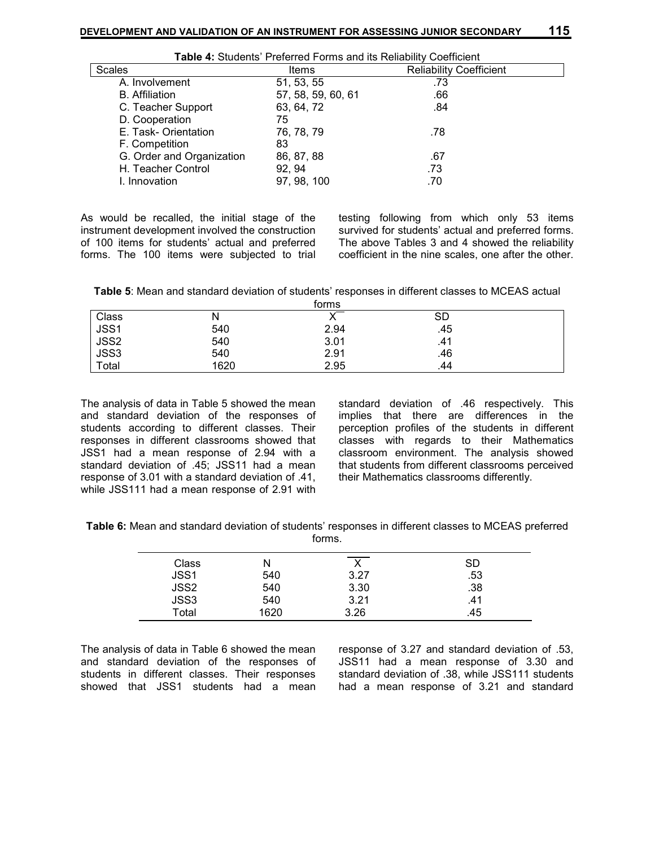| Table 4: Students' Preferred Forms and its Reliability Coefficient |                    |                                |  |  |  |  |
|--------------------------------------------------------------------|--------------------|--------------------------------|--|--|--|--|
| <b>Scales</b>                                                      | Items              | <b>Reliability Coefficient</b> |  |  |  |  |
| A. Involvement                                                     | 51, 53, 55         | .73                            |  |  |  |  |
| <b>B.</b> Affiliation                                              | 57, 58, 59, 60, 61 | .66                            |  |  |  |  |
| C. Teacher Support                                                 | 63, 64, 72         | .84                            |  |  |  |  |
| D. Cooperation                                                     | 75                 |                                |  |  |  |  |
| E. Task- Orientation                                               | 76, 78, 79         | .78                            |  |  |  |  |
| F. Competition                                                     | 83                 |                                |  |  |  |  |
| G. Order and Organization                                          | 86, 87, 88         | .67                            |  |  |  |  |
| H. Teacher Control                                                 | 92, 94             | .73                            |  |  |  |  |
| I. Innovation                                                      | 97, 98, 100        | .70                            |  |  |  |  |

As would be recalled, the initial stage of the instrument development involved the construction of 100 items for students' actual and preferred forms. The 100 items were subjected to trial testing following from which only 53 items survived for students' actual and preferred forms. The above Tables 3 and 4 showed the reliability coefficient in the nine scales, one after the other.

**Table 5**: Mean and standard deviation of students' responses in different classes to MCEAS actual

|              |      | forms |     |  |
|--------------|------|-------|-----|--|
| Class        |      |       | SD  |  |
| JSS1         | 540  | 2.94  | .45 |  |
| JSS2<br>JSS3 | 540  | 3.01  | .41 |  |
|              | 540  | 2.91  | .46 |  |
| Total        | 1620 | 2.95  | .44 |  |

The analysis of data in Table 5 showed the mean and standard deviation of the responses of students according to different classes. Their responses in different classrooms showed that JSS1 had a mean response of 2.94 with a standard deviation of .45; JSS11 had a mean response of 3.01 with a standard deviation of .41, while JSS111 had a mean response of 2.91 with

standard deviation of .46 respectively. This implies that there are differences in the perception profiles of the students in different classes with regards to their Mathematics classroom environment. The analysis showed that students from different classrooms perceived their Mathematics classrooms differently.

**Table 6:** Mean and standard deviation of students' responses in different classes to MCEAS preferred forms.

| Class |      | x    | SD  |
|-------|------|------|-----|
| JSS1  | 540  | 3.27 | .53 |
| JSS2  | 540  | 3.30 | .38 |
| JSS3  | 540  | 3.21 | .41 |
| Total | 1620 | 3.26 | .45 |
|       |      |      |     |

The analysis of data in Table 6 showed the mean and standard deviation of the responses of students in different classes. Their responses showed that JSS1 students had a mean response of 3.27 and standard deviation of .53, JSS11 had a mean response of 3.30 and standard deviation of .38, while JSS111 students had a mean response of 3.21 and standard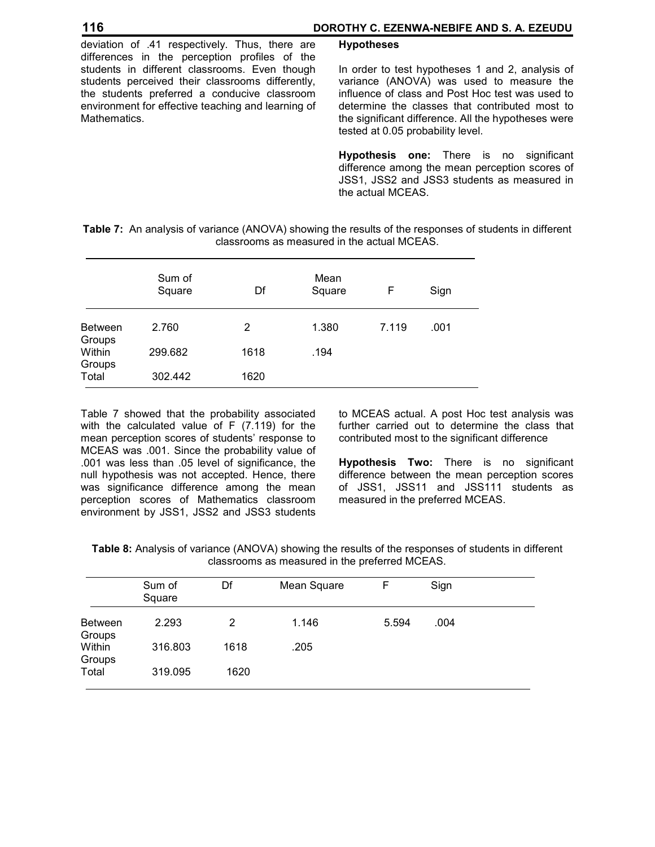deviation of .41 respectively. Thus, there are differences in the perception profiles of the students in different classrooms. Even though students perceived their classrooms differently, the students preferred a conducive classroom environment for effective teaching and learning of Mathematics.

#### **Hypotheses**

In order to test hypotheses 1 and 2, analysis of variance (ANOVA) was used to measure the influence of class and Post Hoc test was used to determine the classes that contributed most to the significant difference. All the hypotheses were tested at 0.05 probability level.

**Hypothesis one:** There is no significant difference among the mean perception scores of JSS1, JSS2 and JSS3 students as measured in the actual MCEAS.

**Table 7:** An analysis of variance (ANOVA) showing the results of the responses of students in different classrooms as measured in the actual MCEAS.

|                          | Sum of<br>Square | Df   | Mean<br>Square | F     | Sign |  |
|--------------------------|------------------|------|----------------|-------|------|--|
| <b>Between</b><br>Groups | 2.760            | 2    | 1.380          | 7.119 | .001 |  |
| Within<br>Groups         | 299.682          | 1618 | .194           |       |      |  |
| Total                    | 302.442          | 1620 |                |       |      |  |

Table 7 showed that the probability associated with the calculated value of F (7.119) for the mean perception scores of students' response to MCEAS was .001. Since the probability value of .001 was less than .05 level of significance, the null hypothesis was not accepted. Hence, there was significance difference among the mean perception scores of Mathematics classroom environment by JSS1, JSS2 and JSS3 students

to MCEAS actual. A post Hoc test analysis was further carried out to determine the class that contributed most to the significant difference

**Hypothesis Two:** There is no significant difference between the mean perception scores of JSS1, JSS11 and JSS111 students as measured in the preferred MCEAS.

| Table 8: Analysis of variance (ANOVA) showing the results of the responses of students in different |
|-----------------------------------------------------------------------------------------------------|
| classrooms as measured in the preferred MCEAS.                                                      |

|                          | Sum of<br>Square | Df   | Mean Square | F     | Sign |
|--------------------------|------------------|------|-------------|-------|------|
| <b>Between</b><br>Groups | 2.293            | 2    | 1.146       | 5.594 | .004 |
| Within<br>Groups         | 316.803          | 1618 | .205        |       |      |
| Total                    | 319.095          | 1620 |             |       |      |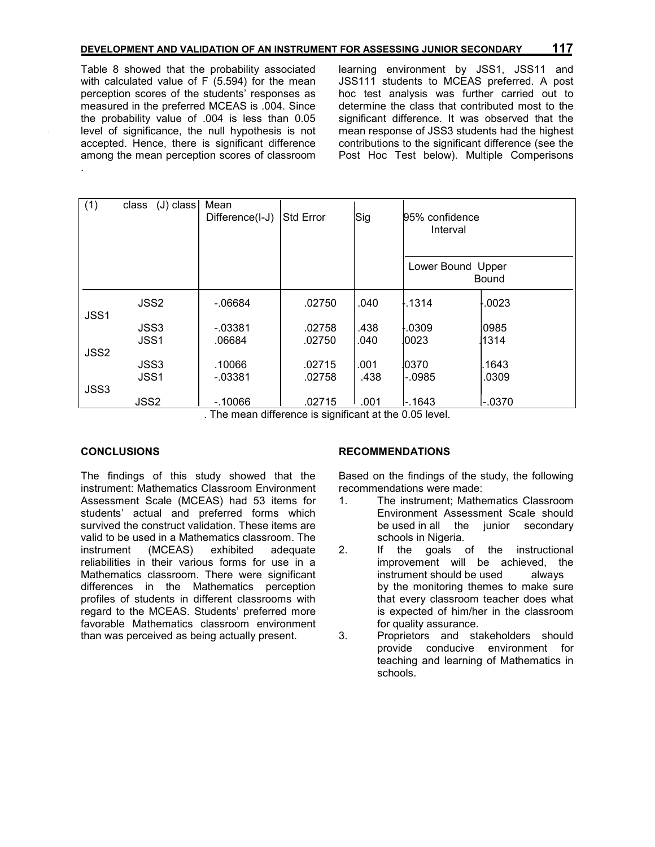### **DEVELOPMENT AND VALIDATION OF AN INSTRUMENT FOR ASSESSING JUNIOR SECONDARY 117**

Table 8 showed that the probability associated with calculated value of F (5.594) for the mean perception scores of the students' responses as measured in the preferred MCEAS is .004. Since the probability value of .004 is less than 0.05 level of significance, the null hypothesis is not accepted. Hence, there is significant difference among the mean perception scores of classroom learning environment by JSS1, JSS11 and JSS111 students to MCEAS preferred. A post hoc test analysis was further carried out to determine the class that contributed most to the significant difference. It was observed that the mean response of JSS3 students had the highest contributions to the significant difference (see the Post Hoc Test below). Multiple Comperisons

| (1)  | $(J)$ class<br>class | Mean<br>Difference(I-J) | <b>Std Error</b> | Sig          | 95% confidence<br>Interval |                |
|------|----------------------|-------------------------|------------------|--------------|----------------------------|----------------|
|      |                      |                         |                  |              | Lower Bound Upper          | Bound          |
| JSS1 | JSS2                 | $-06684$                | .02750           | .040         | ł.1314                     | .0023          |
|      | JSS3<br>JSS1         | $-0.03381$<br>.06684    | .02758<br>.02750 | .438<br>.040 | -.0309<br>.0023            | 10985<br>1314! |
| JSS2 | JSS3                 | .10066                  | .02715           | .001         | .0370                      | 1643           |
|      | JSS1                 | $-0.03381$              | .02758           | .438         | $-0.0985$                  | .0309          |
| JSS3 | JSS2                 | $-10066$                | .02715           | .001         | -.1643                     | -.0370         |

. The mean difference is significant at the 0.05 level.

#### **CONCLUSIONS**

.

The findings of this study showed that the instrument: Mathematics Classroom Environment Assessment Scale (MCEAS) had 53 items for students' actual and preferred forms which survived the construct validation. These items are valid to be used in a Mathematics classroom. The instrument (MCEAS) exhibited adequate reliabilities in their various forms for use in a Mathematics classroom. There were significant differences in the Mathematics perception profiles of students in different classrooms with regard to the MCEAS. Students' preferred more favorable Mathematics classroom environment than was perceived as being actually present.

#### **RECOMMENDATIONS**

Based on the findings of the study, the following recommendations were made:

- 1. The instrument; Mathematics Classroom Environment Assessment Scale should be used in all the junior secondary schools in Nigeria.
- 2. If the goals of the instructional improvement will be achieved, the instrument should be used always by the monitoring themes to make sure that every classroom teacher does what is expected of him/her in the classroom for quality assurance.
- 3. Proprietors and stakeholders should provide conducive environment for teaching and learning of Mathematics in schools.